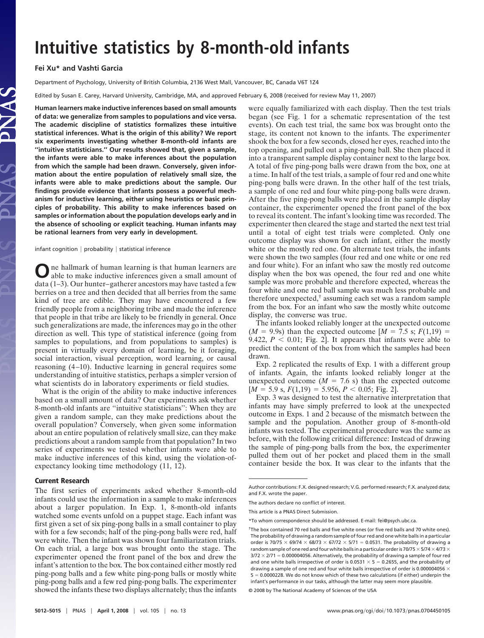## **Intuitive statistics by 8-month-old infants**

## **Fei Xu\* and Vashti Garcia**

Department of Psychology, University of British Columbia, 2136 West Mall, Vancouver, BC, Canada V6T 1Z4

Edited by Susan E. Carey, Harvard University, Cambridge, MA, and approved February 6, 2008 (received for review May 11, 2007)

**Human learners make inductive inferences based on small amounts of data: we generalize from samples to populations and vice versa. The academic discipline of statistics formalizes these intuitive statistical inferences. What is the origin of this ability? We report six experiments investigating whether 8-month-old infants are ''intuitive statisticians.'' Our results showed that, given a sample, the infants were able to make inferences about the population from which the sample had been drawn. Conversely, given information about the entire population of relatively small size, the infants were able to make predictions about the sample. Our findings provide evidence that infants possess a powerful mechanism for inductive learning, either using heuristics or basic principles of probability. This ability to make inferences based on samples or information about the population develops early and in the absence of schooling or explicit teaching. Human infants may be rational learners from very early in development.**

 $infant$  cognition  $|$  probability  $|$  statistical inference

One hallmark of human learning is that human learners are able to make inductive inferences given a small amount of data (1–3). Our hunter–gatherer ancestors may have tasted a few berries on a tree and then decided that all berries from the same kind of tree are edible. They may have encountered a few friendly people from a neighboring tribe and made the inference that people in that tribe are likely to be friendly in general. Once such generalizations are made, the inferences may go in the other direction as well. This type of statistical inference (going from samples to populations, and from populations to samples) is present in virtually every domain of learning, be it foraging, social interaction, visual perception, word learning, or causal reasoning (4–10). Inductive learning in general requires some understanding of intuitive statistics, perhaps a simpler version of what scientists do in laboratory experiments or field studies.

What is the origin of the ability to make inductive inferences based on a small amount of data? Our experiments ask whether 8-month-old infants are ''intuitive statisticians'': When they are given a random sample, can they make predictions about the overall population? Conversely, when given some information about an entire population of relatively small size, can they make predictions about a random sample from that population? In two series of experiments we tested whether infants were able to make inductive inferences of this kind, using the violation-ofexpectancy looking time methodology (11, 12).

## **Current Research**

The first series of experiments asked whether 8-month-old infants could use the information in a sample to make inferences about a larger population. In Exp. 1, 8-month-old infants watched some events unfold on a puppet stage. Each infant was first given a set of six ping-pong balls in a small container to play with for a few seconds; half of the ping-pong balls were red, half were white. Then the infant was shown four familiarization trials. On each trial, a large box was brought onto the stage. The experimenter opened the front panel of the box and drew the infant's attention to the box. The box contained either mostly red ping-pong balls and a few white ping-pong balls or mostly white ping-pong balls and a few red ping-pong balls. The experimenter showed the infants these two displays alternately; thus the infants were equally familiarized with each display. Then the test trials began (see Fig. 1 for a schematic representation of the test events). On each test trial, the same box was brought onto the stage, its content not known to the infants. The experimenter shook the box for a few seconds, closed her eyes, reached into the top opening, and pulled out a ping-pong ball. She then placed it into a transparent sample display container next to the large box. A total of five ping-pong balls were drawn from the box, one at a time. In half of the test trials, a sample of four red and one white ping-pong balls were drawn. In the other half of the test trials, a sample of one red and four white ping-pong balls were drawn. After the five ping-pong balls were placed in the sample display container, the experimenter opened the front panel of the box to reveal its content. The infant's looking time was recorded. The experimenter then cleared the stage and started the next test trial until a total of eight test trials were completed. Only one outcome display was shown for each infant, either the mostly white or the mostly red one. On alternate test trials, the infants were shown the two samples (four red and one white or one red and four white). For an infant who saw the mostly red outcome display when the box was opened, the four red and one white sample was more probable and therefore expected, whereas the four white and one red ball sample was much less probable and therefore unexpected,† assuming each set was a random sample from the box. For an infant who saw the mostly white outcome display, the converse was true.

The infants looked reliably longer at the unexpected outcome  $(M = 9.9s)$  than the expected outcome  $[M = 7.5 \text{ s}; F(1,19) =$ 9.422,  $P < 0.01$ ; Fig. 2]. It appears that infants were able to predict the content of the box from which the samples had been drawn.

Exp. 2 replicated the results of Exp. 1 with a different group of infants. Again, the infants looked reliably longer at the unexpected outcome  $(M = 7.6 \text{ s})$  than the expected outcome  $[M = 5.9 \text{ s}, F(1,19) = 5.956, P < 0.05; \text{ Fig. 2}].$ 

Exp. 3 was designed to test the alternative interpretation that infants may have simply preferred to look at the unexpected outcome in Exps. 1 and 2 because of the mismatch between the sample and the population. Another group of 8-month-old infants was tested. The experimental procedure was the same as before, with the following critical difference: Instead of drawing the sample of ping-pong balls from the box, the experimenter pulled them out of her pocket and placed them in the small container beside the box. It was clear to the infants that the

© 2008 by The National Academy of Sciences of the USA

Author contributions: F.X. designed research; V.G. performed research; F.X. analyzed data; and F.X. wrote the paper.

The authors declare no conflict of interest.

This article is a PNAS Direct Submission.

<sup>\*</sup>To whom correspondence should be addressed. E-mail: fei@psych.ubc.ca.

<sup>†</sup>The box contained 70 red balls and five white ones (or five red balls and 70 white ones). The probability of drawing a random sample of four red and one white balls in a particular order is 70/75  $\times$  69/74  $\times$  68/73  $\times$  67/72  $\times$  5/71 = 0.0531. The probability of drawing a random sample of one red and four white balls in a particular order is 70/75  $\times$  5/74  $\times$  4/73  $\times$  $3/72 \times 2/71 = 0.000004056$ . Alternatively, the probability of drawing a sample of four red and one white balls irrespective of order is 0.0531  $\times$  5 = 0.2655, and the probability of drawing a sample of one red and four white balls irrespective of order is 0.000004056  $\times$  $5 = 0.0000228$ . We do not know which of these two calculations (if either) underpin the infant's performance in our tasks, although the latter may seem more plausible.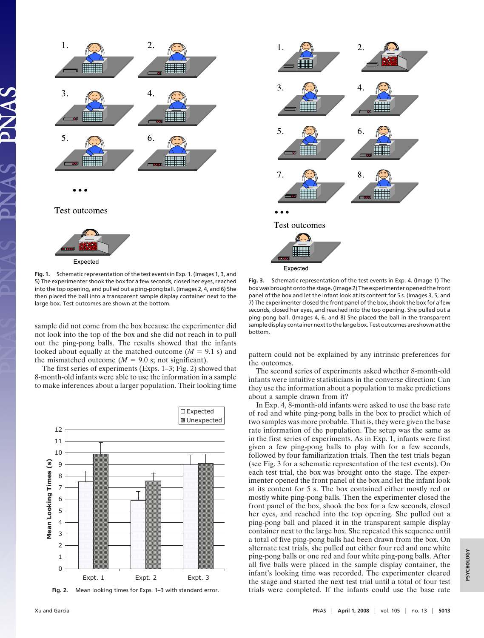

**Fig. 1.** Schematic representation of the test events in Exp. 1. (Images 1, 3, and 5) The experimenter shook the box for a few seconds, closed her eyes, reached into the top opening, and pulled out a ping-pong ball. (Images 2, 4, and 6) She then placed the ball into a transparent sample display container next to the large box. Test outcomes are shown at the bottom.

sample did not come from the box because the experimenter did not look into the top of the box and she did not reach in to pull out the ping-pong balls. The results showed that the infants looked about equally at the matched outcome  $(M = 9.1 s)$  and the mismatched outcome ( $M = 9.0$  s; not significant).

The first series of experiments (Exps. 1–3; Fig. 2) showed that 8-month-old infants were able to use the information in a sample to make inferences about a larger population. Their looking time



**Fig. 2.** Mean looking times for Exps. 1–3 with standard error.



Expected

**Fig. 3.** Schematic representation of the test events in Exp. 4. (Image 1) The box was brought onto the stage. (Image 2) The experimenter opened the front panel of the box and let the infant look at its content for 5 s. (Images 3, 5, and 7) The experimenter closed the front panel of the box, shook the box for a few seconds, closed her eyes, and reached into the top opening. She pulled out a ping-pong ball. (Images 4, 6, and 8) She placed the ball in the transparent sample display container next to the large box. Test outcomes are shown at the bottom.

pattern could not be explained by any intrinsic preferences for the outcomes.

The second series of experiments asked whether 8-month-old infants were intuitive statisticians in the converse direction: Can they use the information about a population to make predictions about a sample drawn from it?

In Exp. 4, 8-month-old infants were asked to use the base rate of red and white ping-pong balls in the box to predict which of two samples was more probable. That is, they were given the base rate information of the population. The setup was the same as in the first series of experiments. As in Exp. 1, infants were first given a few ping-pong balls to play with for a few seconds, followed by four familiarization trials. Then the test trials began (see Fig. 3 for a schematic representation of the test events). On each test trial, the box was brought onto the stage. The experimenter opened the front panel of the box and let the infant look at its content for 5 s. The box contained either mostly red or mostly white ping-pong balls. Then the experimenter closed the front panel of the box, shook the box for a few seconds, closed her eyes, and reached into the top opening. She pulled out a ping-pong ball and placed it in the transparent sample display container next to the large box. She repeated this sequence until a total of five ping-pong balls had been drawn from the box. On alternate test trials, she pulled out either four red and one white ping-pong balls or one red and four white ping-pong balls. After all five balls were placed in the sample display container, the infant's looking time was recorded. The experimenter cleared the stage and started the next test trial until a total of four test trials were completed. If the infants could use the base rate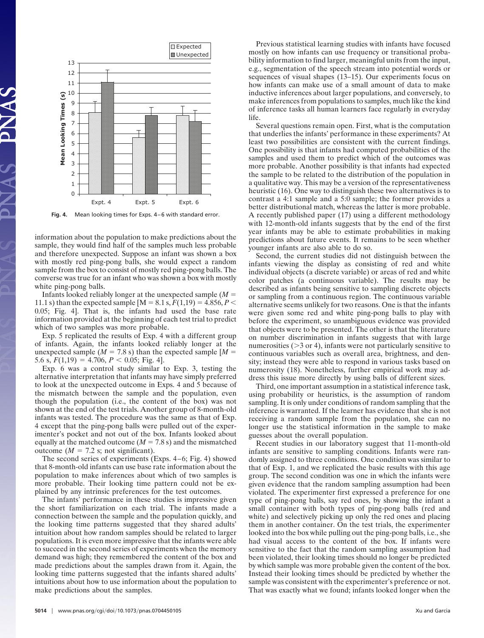

Fig. 4. Mean looking times for Exps. 4-6 with standard error.

information about the population to make predictions about the sample, they would find half of the samples much less probable and therefore unexpected. Suppose an infant was shown a box with mostly red ping-pong balls, she would expect a random sample from the box to consist of mostly red ping-pong balls. The converse was true for an infant who was shown a box with mostly white ping-pong balls.

Infants looked reliably longer at the unexpected sample (*M* 11.1 s) than the expected sample  $[M = 8.1 s, F(1,19) = 4.856, P <$ 0.05; Fig. 4]. That is, the infants had used the base rate information provided at the beginning of each test trial to predict which of two samples was more probable.

Exp. 5 replicated the results of Exp. 4 with a different group of infants. Again, the infants looked reliably longer at the unexpected sample  $(M = 7.8 \text{ s})$  than the expected sample  $[M =$ 5.6 s,  $F(1,19) = 4.706$ ,  $P < 0.05$ ; Fig. 4].

Exp. 6 was a control study similar to Exp. 3, testing the alternative interpretation that infants may have simply preferred to look at the unexpected outcome in Exps. 4 and 5 because of the mismatch between the sample and the population, even though the population (i.e., the content of the box) was not shown at the end of the test trials. Another group of 8-month-old infants was tested. The procedure was the same as that of Exp. 4 except that the ping-pong balls were pulled out of the experimenter's pocket and not out of the box. Infants looked about equally at the matched outcome  $(M = 7.8 \text{ s})$  and the mismatched outcome ( $M = 7.2$  s; not significant).

The second series of experiments (Exps. 4–6; Fig. 4) showed that 8-month-old infants can use base rate information about the population to make inferences about which of two samples is more probable. Their looking time pattern could not be explained by any intrinsic preferences for the test outcomes.

The infants' performance in these studies is impressive given the short familiarization on each trial. The infants made a connection between the sample and the population quickly, and the looking time patterns suggested that they shared adults' intuition about how random samples should be related to larger populations. It is even more impressive that the infants were able to succeed in the second series of experiments when the memory demand was high; they remembered the content of the box and made predictions about the samples drawn from it. Again, the looking time patterns suggested that the infants shared adults' intuitions about how to use information about the population to make predictions about the samples.

Previous statistical learning studies with infants have focused mostly on how infants can use frequency or transitional probability information to find larger, meaningful units from the input, e.g., segmentation of the speech stream into potential words or sequences of visual shapes (13–15). Our experiments focus on how infants can make use of a small amount of data to make inductive inferences about larger populations, and conversely, to make inferences from populations to samples, much like the kind of inference tasks all human learners face regularly in everyday life.

Several questions remain open. First, what is the computation that underlies the infants' performance in these experiments? At least two possibilities are consistent with the current findings. One possibility is that infants had computed probabilities of the samples and used them to predict which of the outcomes was more probable. Another possibility is that infants had expected the sample to be related to the distribution of the population in a qualitative way. This may be a version of the representativeness heuristic (16). One way to distinguish these two alternatives is to contrast a 4:1 sample and a 5:0 sample; the former provides a better distributional match, whereas the latter is more probable. A recently published paper (17) using a different methodology with 12-month-old infants suggests that by the end of the first year infants may be able to estimate probabilities in making predictions about future events. It remains to be seen whether younger infants are also able to do so.

Second, the current studies did not distinguish between the infants viewing the display as consisting of red and white individual objects (a discrete variable) or areas of red and white color patches (a continuous variable). The results may be described as infants being sensitive to sampling discrete objects or sampling from a continuous region. The continuous variable alternative seems unlikely for two reasons. One is that the infants were given some red and white ping-pong balls to play with before the experiment, so unambiguous evidence was provided that objects were to be presented. The other is that the literature on number discrimination in infants suggests that with large numerosities  $(>3$  or 4), infants were not particularly sensitive to continuous variables such as overall area, brightness, and density; instead they were able to respond in various tasks based on numerosity (18). Nonetheless, further empirical work may address this issue more directly by using balls of different sizes.

Third, one important assumption in a statistical inference task, using probability or heuristics, is the assumption of random sampling. It is only under conditions of random sampling that the inference is warranted. If the learner has evidence that she is not receiving a random sample from the population, she can no longer use the statistical information in the sample to make guesses about the overall population.

Recent studies in our laboratory suggest that 11-month-old infants are sensitive to sampling conditions. Infants were randomly assigned to three conditions. One condition was similar to that of Exp. 1, and we replicated the basic results with this age group. The second condition was one in which the infants were given evidence that the random sampling assumption had been violated. The experimenter first expressed a preference for one type of ping-pong balls, say red ones, by showing the infant a small container with both types of ping-pong balls (red and white) and selectively picking up only the red ones and placing them in another container. On the test trials, the experimenter looked into the box while pulling out the ping-pong balls, i.e., she had visual access to the content of the box. If infants were sensitive to the fact that the random sampling assumption had been violated, their looking times should no longer be predicted by which sample was more probable given the content of the box. Instead their looking times should be predicted by whether the sample was consistent with the experimenter's preference or not. That was exactly what we found; infants looked longer when the